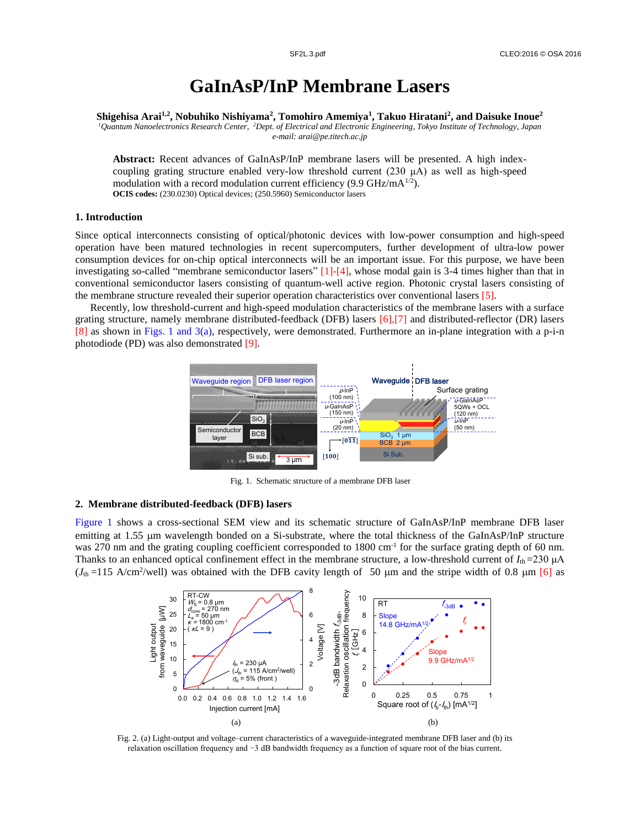# **GaInAsP/InP Membrane Lasers**

**Shigehisa Arai1,2, Nobuhiko Nishiyama<sup>2</sup> , Tomohiro Amemiya<sup>1</sup> , Takuo Hiratani<sup>2</sup> , and Daisuke Inoue<sup>2</sup>**

*<sup>1</sup>Quantum Nanoelectronics Research Center, <sup>2</sup>Dept. of Electrical and Electronic Engineering, Tokyo Institute of Technology, Japan e-mail: arai@pe.titech.ac.jp*

**Abstract:** Recent advances of GaInAsP/InP membrane lasers will be presented. A high indexcoupling grating structure enabled very-low threshold current  $(230 \mu A)$  as well as high-speed modulation with a record modulation current efficiency (9.9 GHz/mA $^{1/2}$ ). **OCIS codes:** (230.0230) Optical devices; (250.5960) Semiconductor lasers

## **1. Introduction**

Since optical interconnects consisting of optical/photonic devices with low-power consumption and high-speed operation have been matured technologies in recent supercomputers, further development of ultra-low power consumption devices for on-chip optical interconnects will be an important issue. For this purpose, we have been investigating so-called "membrane semiconductor lasers"  $[1]$ - $[4]$ , whose modal gain is 3-4 times higher than that in conventional semiconductor lasers consisting of quantum-well active region. Photonic crystal lasers consisting of the membrane structure revealed their superior operation characteristics over conventional lasers [5].

Recently, low threshold-current and high-speed modulation characteristics of the membrane lasers with a surface grating structure, namely membrane distributed-feedback (DFB) lasers [6],[7] and distributed-reflector (DR) lasers [8] as shown in Figs. 1 and 3(a), respectively, were demonstrated. Furthermore an in-plane integration with a p-i-n photodiode (PD) was also demonstrated [9].



Fig. 1. Schematic structure of a membrane DFB laser

### **2. Membrane distributed-feedback (DFB) lasers**

Figure 1 shows a cross-sectional SEM view and its schematic structure of GaInAsP/InP membrane DFB laser emitting at 1.55 µm wavelength bonded on a Si-substrate, where the total thickness of the GaInAsP/InP structure was 270 nm and the grating coupling coefficient corresponded to  $1800 \text{ cm}^{-1}$  for the surface grating depth of 60 nm. Thanks to an enhanced optical confinement effect in the membrane structure, a low-threshold current of  $I_{th} = 230 \mu A$  $(J_{th} = 115 \text{ A/cm}^2/\text{well})$  was obtained with the DFB cavity length of 50  $\mu$ m and the stripe width of 0.8  $\mu$ m [6] as



Fig. 2. (a) Light-output and voltage–current characteristics of a waveguide-integrated membrane DFB laser and (b) its relaxation oscillation frequency and −3 dB bandwidth frequency as a function of square root of the bias current.